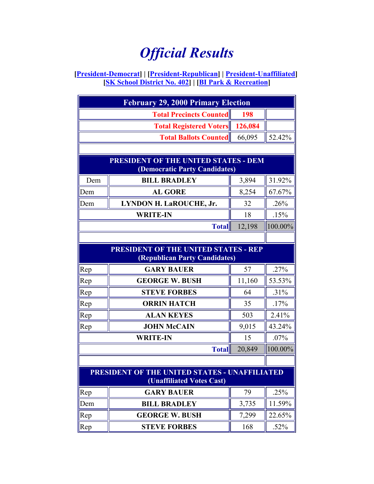## *Official Results*

## **[President-Democrat] | [President-Republican] | President-Unaffiliated] [SK School District No. 402] | [BI Park & Recreation]**

| <b>February 29, 2000 Primary Election</b>     |                                                    |              |         |  |  |
|-----------------------------------------------|----------------------------------------------------|--------------|---------|--|--|
|                                               | <b>Total Precincts Counted</b>                     | 198          |         |  |  |
|                                               | <b>Total Registered Voters</b>                     | 126,084      |         |  |  |
|                                               | <b>Total Ballots Counted</b>                       | 66,095       | 52.42%  |  |  |
|                                               |                                                    |              |         |  |  |
| <b>PRESIDENT OF THE UNITED STATES - DEM</b>   |                                                    |              |         |  |  |
| (Democratic Party Candidates)                 |                                                    |              |         |  |  |
| Dem                                           | <b>BILL BRADLEY</b>                                | 3,894        | 31.92%  |  |  |
| Dem                                           | <b>AL GORE</b>                                     | 8,254        | 67.67%  |  |  |
| Dem                                           | LYNDON H. LaROUCHE, Jr.                            | 32           | .26%    |  |  |
| <b>WRITE-IN</b>                               |                                                    | 18           | .15%    |  |  |
|                                               | <b>Total</b>                                       | 12,198       | 100.00% |  |  |
|                                               |                                                    |              |         |  |  |
| <b>PRESIDENT OF THE UNITED STATES - REP</b>   |                                                    |              |         |  |  |
| Rep                                           | (Republican Party Candidates)<br><b>GARY BAUER</b> | 57           | .27%    |  |  |
|                                               | <b>GEORGE W. BUSH</b>                              |              | 53.53%  |  |  |
| Rep                                           | <b>STEVE FORBES</b>                                | 11,160<br>64 |         |  |  |
| Rep                                           |                                                    |              | .31%    |  |  |
| Rep                                           | <b>ORRIN HATCH</b>                                 | 35           | .17%    |  |  |
| Rep                                           | <b>ALAN KEYES</b>                                  | 503          | 2.41%   |  |  |
| Rep                                           | <b>JOHN McCAIN</b>                                 | 9,015        | 43.24%  |  |  |
|                                               | <b>WRITE-IN</b>                                    | 15           | $.07\%$ |  |  |
|                                               | <b>Total</b>                                       | 20,849       | 100.00% |  |  |
|                                               |                                                    |              |         |  |  |
| PRESIDENT OF THE UNITED STATES - UNAFFILIATED |                                                    |              |         |  |  |
|                                               | (Unaffiliated Votes Cast)                          |              |         |  |  |
| Rep                                           | <b>GARY BAUER</b>                                  | 79           | .25%    |  |  |
| Dem                                           | <b>BILL BRADLEY</b>                                | 3,735        | 11.59%  |  |  |
| Rep                                           | <b>GEORGE W. BUSH</b>                              | 7,299        | 22.65%  |  |  |
| Rep                                           | <b>STEVE FORBES</b>                                | 168          | .52%    |  |  |